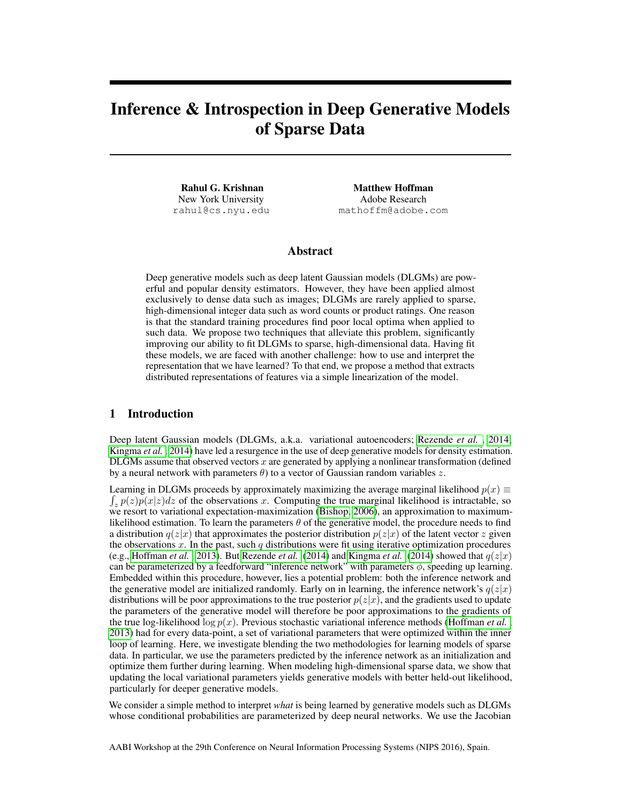# Inference & Introspection in Deep Generative Models of Sparse Data

Rahul G. Krishnan New York University rahul@cs.nyu.edu

Matthew Hoffman Adobe Research mathoffm@adobe.com

#### Abstract

Deep generative models such as deep latent Gaussian models (DLGMs) are powerful and popular density estimators. However, they have been applied almost exclusively to dense data such as images; DLGMs are rarely applied to sparse, high-dimensional integer data such as word counts or product ratings. One reason is that the standard training procedures find poor local optima when applied to such data. We propose two techniques that alleviate this problem, significantly improving our ability to fit DLGMs to sparse, high-dimensional data. Having fit these models, we are faced with another challenge: how to use and interpret the representation that we have learned? To that end, we propose a method that extracts distributed representations of features via a simple linearization of the model.

#### 1 Introduction

Deep latent Gaussian models (DLGMs, a.k.a. variational autoencoders; [Rezende](#page-4-0) *et al.* , [2014;](#page-4-0) [Kingma](#page-4-1) *et al.* , [2014\)](#page-4-1) have led a resurgence in the use of deep generative models for density estimation. DLGMs assume that observed vectors x are generated by applying a nonlinear transformation (defined by a neural network with parameters  $\theta$ ) to a vector of Gaussian random variables z.

Learning in DLGMs proceeds by approximately maximizing the average marginal likelihood  $p(x) \equiv$  $\int_z p(z)p(x|z)dz$  of the observations x. Computing the true marginal likelihood is intractable, so we resort to variational expectation-maximization [\(Bishop, 2006\)](#page-4-2), an approximation to maximumlikelihood estimation. To learn the parameters  $\theta$  of the generative model, the procedure needs to find a distribution  $q(z|x)$  that approximates the posterior distribution  $p(z|x)$  of the latent vector z given the observations  $x$ . In the past, such  $q$  distributions were fit using iterative optimization procedures (e.g., [Hoffman](#page-4-3) *et al.* , [2013\)](#page-4-3). But [Rezende](#page-4-0) *et al.* [\(2014\)](#page-4-1) and [Kingma](#page-4-1) *et al.* (2014) showed that  $q(z|x)$ can be parameterized by a feedforward "inference network" with parameters  $\phi$ , speeding up learning. Embedded within this procedure, however, lies a potential problem: both the inference network and the generative model are initialized randomly. Early on in learning, the inference network's  $q(z|x)$ distributions will be poor approximations to the true posterior  $p(z|x)$ , and the gradients used to update the parameters of the generative model will therefore be poor approximations to the gradients of the true log-likelihood log  $p(x)$ . Previous stochastic variational inference methods [\(Hoffman](#page-4-3) *et al.*, [2013\)](#page-4-3) had for every data-point, a set of variational parameters that were optimized within the inner loop of learning. Here, we investigate blending the two methodologies for learning models of sparse data. In particular, we use the parameters predicted by the inference network as an initialization and optimize them further during learning. When modeling high-dimensional sparse data, we show that updating the local variational parameters yields generative models with better held-out likelihood, particularly for deeper generative models.

We consider a simple method to interpret *what* is being learned by generative models such as DLGMs whose conditional probabilities are parameterized by deep neural networks. We use the Jacobian

AABI Workshop at the 29th Conference on Neural Information Processing Systems (NIPS 2016), Spain.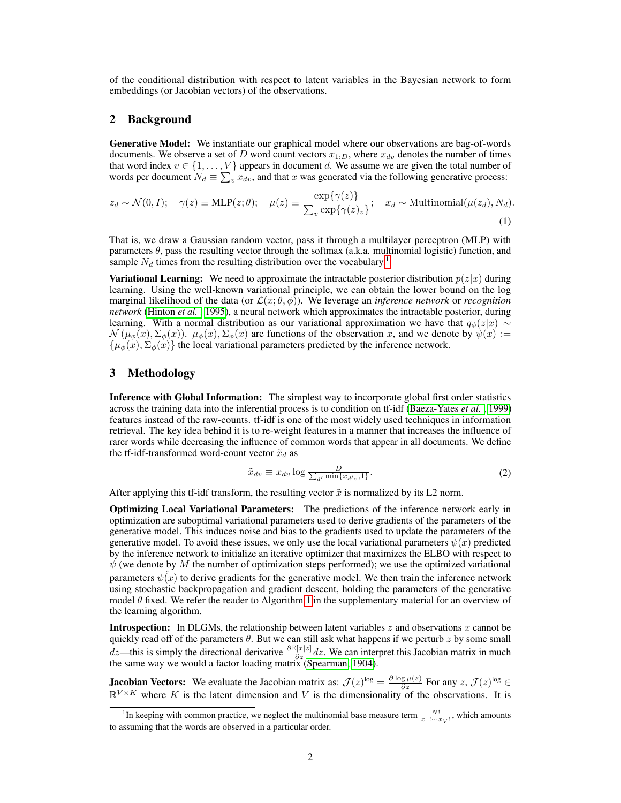of the conditional distribution with respect to latent variables in the Bayesian network to form embeddings (or Jacobian vectors) of the observations.

#### 2 Background

Generative Model: We instantiate our graphical model where our observations are bag-of-words documents. We observe a set of D word count vectors  $x_{1:D}$ , where  $x_{dv}$  denotes the number of times that word index  $v \in \{1, \ldots, V\}$  appears in document d. We assume we are given the total number of words per document  $N_d \equiv \sum_v x_{dv}$ , and that x was generated via the following generative process:

$$
z_d \sim \mathcal{N}(0, I); \quad \gamma(z) \equiv \text{MLP}(z; \theta); \quad \mu(z) \equiv \frac{\exp\{\gamma(z)\}}{\sum_v \exp\{\gamma(z)_v\}}; \quad x_d \sim \text{Multinomial}(\mu(z_d), N_d).
$$
\n(1)

That is, we draw a Gaussian random vector, pass it through a multilayer perceptron (MLP) with parameters  $\theta$ , pass the resulting vector through the softmax (a.k.a. multinomial logistic) function, and sample  $N_d$  times from the resulting distribution over the vocabulary.<sup>[1](#page-1-0)</sup>

**Variational Learning:** We need to approximate the intractable posterior distribution  $p(z|x)$  during learning. Using the well-known variational principle, we can obtain the lower bound on the log marginal likelihood of the data (or  $\mathcal{L}(x; \theta, \phi)$ ). We leverage an *inference network* or *recognition network* [\(Hinton](#page-4-4) *et al.* , [1995\)](#page-4-4), a neural network which approximates the intractable posterior, during learning. With a normal distribution as our variational approximation we have that  $q_{\phi}(z|x) \sim$  $\mathcal{N}(\mu_{\phi}(x), \Sigma_{\phi}(x))$ .  $\mu_{\phi}(x), \Sigma_{\phi}(x)$  are functions of the observation x, and we denote by  $\psi(x) :=$  $\{\mu_{\phi}(x), \Sigma_{\phi}(x)\}\$  the local variational parameters predicted by the inference network.

# 3 Methodology

Inference with Global Information: The simplest way to incorporate global first order statistics across the training data into the inferential process is to condition on tf-idf [\(Baeza-Yates](#page-4-5) *et al.* , [1999\)](#page-4-5) features instead of the raw-counts. tf-idf is one of the most widely used techniques in information retrieval. The key idea behind it is to re-weight features in a manner that increases the influence of rarer words while decreasing the influence of common words that appear in all documents. We define the tf-idf-transformed word-count vector  $\tilde{x}_d$  as

$$
\tilde{x}_{dv} \equiv x_{dv} \log \frac{D}{\sum_{d'} \min\{x_{d'v}, 1\}}.
$$
\n(2)

After applying this tf-idf transform, the resulting vector  $\tilde{x}$  is normalized by its L2 norm.

Optimizing Local Variational Parameters: The predictions of the inference network early in optimization are suboptimal variational parameters used to derive gradients of the parameters of the generative model. This induces noise and bias to the gradients used to update the parameters of the generative model. To avoid these issues, we only use the local variational parameters  $\psi(x)$  predicted by the inference network to initialize an iterative optimizer that maximizes the ELBO with respect to  $\psi$  (we denote by M the number of optimization steps performed); we use the optimized variational parameters  $\psi(x)$  to derive gradients for the generative model. We then train the inference network using stochastic backpropagation and gradient descent, holding the parameters of the generative model  $\theta$  fixed. We refer the reader to Algorithm [1](#page-5-0) in the supplementary material for an overview of the learning algorithm.

**Introspection:** In DLGMs, the relationship between latent variables  $z$  and observations  $x$  cannot be quickly read off of the parameters  $\theta$ . But we can still ask what happens if we perturb z by some small  $dz$ —this is simply the directional derivative  $\frac{\partial \mathbb{E}[x]z|}{\partial z}dz$ . We can interpret this Jacobian matrix in much the same way we would a factor loading matrix [\(Spearman, 1904\)](#page-4-6).

**Jacobian Vectors:** We evaluate the Jacobian matrix as:  $\mathcal{J}(z)^{\log} = \frac{\partial \log \mu(z)}{\partial z}$  For any  $z$ ,  $\mathcal{J}(z)^{\log} \in$  $\mathbb{R}^{V \times K}$  where K is the latent dimension and V is the dimensionality of the observations. It is

<span id="page-1-0"></span><sup>&</sup>lt;sup>1</sup>In keeping with common practice, we neglect the multinomial base measure term  $\frac{N!}{x_1! \cdots x_V!}$ , which amounts to assuming that the words are observed in a particular order.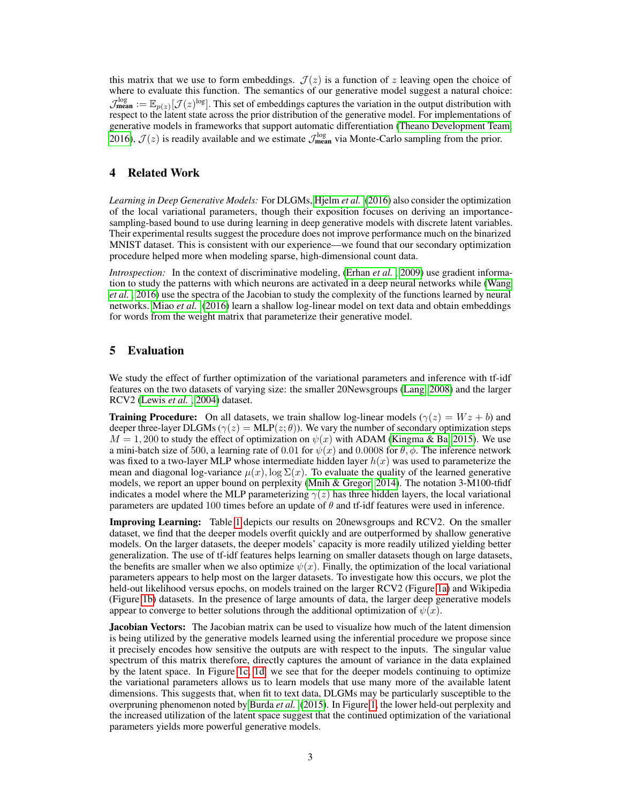this matrix that we use to form embeddings.  $\mathcal{J}(z)$  is a function of z leaving open the choice of where to evaluate this function. The semantics of our generative model suggest a natural choice:  $\mathcal{J}^{\log}_{\text{mean}} := \mathbb{E}_{p(z)}[\mathcal{J}(z)^{\log}]$ . This set of embeddings captures the variation in the output distribution with respect to the latent state across the prior distribution of the generative model. For implementations of generative models in frameworks that support automatic differentiation [\(Theano Development Team,](#page-4-7) [2016\)](#page-4-7),  $\mathcal{J}(z)$  is readily available and we estimate  $\mathcal{J}_{\text{mean}}^{\log}$  via Monte-Carlo sampling from the prior.

## 4 Related Work

*Learning in Deep Generative Models:* For DLGMs, [Hjelm](#page-4-8) *et al.* [\(2016\)](#page-4-8) also consider the optimization of the local variational parameters, though their exposition focuses on deriving an importancesampling-based bound to use during learning in deep generative models with discrete latent variables. Their experimental results suggest the procedure does not improve performance much on the binarized MNIST dataset. This is consistent with our experience—we found that our secondary optimization procedure helped more when modeling sparse, high-dimensional count data.

*Introspection:* In the context of discriminative modeling, [\(Erhan](#page-4-9) *et al.*, [2009\)](#page-4-9) use gradient information to study the patterns with which neurons are activated in a deep neural networks while [\(Wang](#page-4-10) *[et al.](#page-4-10)* , [2016\)](#page-4-10) use the spectra of the Jacobian to study the complexity of the functions learned by neural networks. [Miao](#page-4-11) *et al.* [\(2016\)](#page-4-11) learn a shallow log-linear model on text data and obtain embeddings for words from the weight matrix that parameterize their generative model.

## 5 Evaluation

We study the effect of further optimization of the variational parameters and inference with tf-idf features on the two datasets of varying size: the smaller 20Newsgroups [\(Lang, 2008\)](#page-4-12) and the larger RCV2 [\(Lewis](#page-4-13) *et al.* , [2004\)](#page-4-13) dataset.

**Training Procedure:** On all datasets, we train shallow log-linear models ( $\gamma(z) = Wz + b$ ) and deeper three-layer DLGMs ( $\gamma(z) = \text{MLP}(z; \theta)$ ). We vary the number of secondary optimization steps  $M = 1,200$  to study the effect of optimization on  $\psi(x)$  with ADAM [\(Kingma & Ba, 2015\)](#page-4-14). We use a mini-batch size of 500, a learning rate of 0.01 for  $\psi(x)$  and 0.0008 for  $\theta$ ,  $\phi$ . The inference network was fixed to a two-layer MLP whose intermediate hidden layer  $h(x)$  was used to parameterize the mean and diagonal log-variance  $\mu(x)$ , log  $\Sigma(x)$ . To evaluate the quality of the learned generative models, we report an upper bound on perplexity [\(Mnih & Gregor, 2014\)](#page-4-15). The notation 3-M100-tfidf indicates a model where the MLP parameterizing  $\gamma(z)$  has three hidden layers, the local variational parameters are updated 100 times before an update of  $\theta$  and tf-idf features were used in inference.

Improving Learning: Table [1](#page-3-0) depicts our results on 20newsgroups and RCV2. On the smaller dataset, we find that the deeper models overfit quickly and are outperformed by shallow generative models. On the larger datasets, the deeper models' capacity is more readily utilized yielding better generalization. The use of tf-idf features helps learning on smaller datasets though on large datasets, the benefits are smaller when we also optimize  $\psi(x)$ . Finally, the optimization of the local variational parameters appears to help most on the larger datasets. To investigate how this occurs, we plot the held-out likelihood versus epochs, on models trained on the larger RCV2 (Figure [1a\)](#page-3-1) and Wikipedia (Figure [1b\)](#page-3-1) datasets. In the presence of large amounts of data, the larger deep generative models appear to converge to better solutions through the additional optimization of  $\psi(x)$ .

Jacobian Vectors: The Jacobian matrix can be used to visualize how much of the latent dimension is being utilized by the generative models learned using the inferential procedure we propose since it precisely encodes how sensitive the outputs are with respect to the inputs. The singular value spectrum of this matrix therefore, directly captures the amount of variance in the data explained by the latent space. In Figure [1c, 1d,](#page-3-1) we see that for the deeper models continuing to optimize the variational parameters allows us to learn models that use many more of the available latent dimensions. This suggests that, when fit to text data, DLGMs may be particularly susceptible to the overpruning phenomenon noted by [Burda](#page-4-16) *et al.* [\(2015\)](#page-4-16). In Figure [1,](#page-3-1) the lower held-out perplexity and the increased utilization of the latent space suggest that the continued optimization of the variational parameters yields more powerful generative models.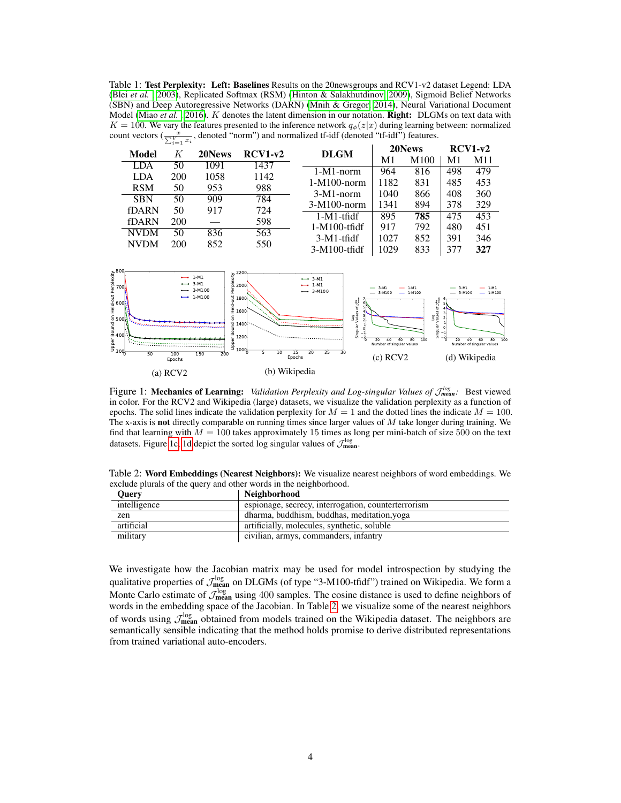<span id="page-3-0"></span>Table 1: Test Perplexity: Left: Baselines Results on the 20newsgroups and RCV1-v2 dataset Legend: LDA (Blei *[et al.](#page-4-17)* , [2003\)](#page-4-17), Replicated Softmax (RSM) [\(Hinton & Salakhutdinov, 2009\)](#page-4-18), Sigmoid Belief Networks (SBN) and Deep Autoregressive Networks (DARN) [\(Mnih & Gregor, 2014\)](#page-4-15), Neural Variational Document Model [\(Miao](#page-4-11) *et al.*, [2016\)](#page-4-11). *K* denotes the latent dimension in our notation. **Right:** DLGMs on text data with  $K = 100$ . We vary the features presented to the inference network  $q_{\phi}(z|x)$  during learning between: normalized count vectors  $(\frac{x}{\sum_{i=1}^{V} x_i})$ , denoted "norm") and normalized tf-idf (denoted "tf-idf") features.

| $-1 = 1$    |            |        |           | 20News          |                | $RCV1-v2$        |     |     |
|-------------|------------|--------|-----------|-----------------|----------------|------------------|-----|-----|
| Model       | K          | 20News | $RCV1-v2$ | <b>DLGM</b>     | M <sub>1</sub> | M <sub>100</sub> | M1  | M11 |
| <b>LDA</b>  | 50         | 1091   | 1437      | $1-M1-norm$     | 964            | 816              | 498 | 479 |
| <b>LDA</b>  | <b>200</b> | 1058   | 1142      | $1-M100$ -norm  | 1182           | 831              | 485 | 453 |
| <b>RSM</b>  | 50         | 953    | 988       |                 |                |                  |     |     |
| <b>SBN</b>  | 50         | 909    | 784       | $3-M1-norm$     | 1040           | 866              | 408 | 360 |
| fDARN       | 50         | 917    | 724       | $3-M100-norm$   | 1341           | 894              | 378 | 329 |
|             |            |        |           | $1-M1$ -tfidf   | 895            | 785              | 475 | 453 |
| fDARN       | 200        |        | 598       | $1-M100$ -tfidf | 917            | 792              | 480 | 451 |
| <b>NVDM</b> | 50         | 836    | 563       | $3-M1$ -tfidf   | 1027           | 852              | 391 | 346 |
| <b>NVDM</b> | 200        | 852    | 550       |                 |                |                  |     |     |
|             |            |        |           | $3-M100$ -tfidf | 1029           | 833              | 377 | 327 |

<span id="page-3-1"></span>

Figure 1: Mechanics of Learning: *Validation Perplexity and Log-singular Values of*  $\mathcal{J}^{log}_{mean}$ *:* Best viewed in color. For the RCV2 and Wikipedia (large) datasets, we visualize the validation perplexity as a function of epochs. The solid lines indicate the validation perplexity for  $M = 1$  and the dotted lines the indicate  $M = 100$ . The x-axis is not directly comparable on running times since larger values of  $M$  take longer during training. We find that learning with  $M = 100$  takes approximately 15 times as long per mini-batch of size 500 on the text datasets. Figure [1c, 1d](#page-3-1) depict the sorted log singular values of  $\mathcal{J}_{\text{mean}}^{\log}$ .

<span id="page-3-2"></span>Table 2: Word Embeddings (Nearest Neighbors): We visualize nearest neighbors of word embeddings. We exclude plurals of the query and other words in the neighborhood.

| <b>Ouerv</b> | <b>Neighborhood</b>                                 |
|--------------|-----------------------------------------------------|
| intelligence | espionage, secrecy, interrogation, counterterrorism |
| zen          | dharma, buddhism, buddhas, meditation, yoga         |
| artificial   | artificially, molecules, synthetic, soluble         |
| military     | civilian, armys, commanders, infantry               |

We investigate how the Jacobian matrix may be used for model introspection by studying the qualitative properties of  $\mathcal{J}_{\rm mean}^{\rm log}$  on DLGMs (of type "3-M100-tfidf") trained on Wikipedia. We form a Monte Carlo estimate of  $\mathcal{J}_{\text{mean}}^{\log}$  using 400 samples. The cosine distance is used to define neighbors of words in the embedding space of the Jacobian. In Table [2,](#page-3-2) we visualize some of the nearest neighbors of words using  $\mathcal{J}_{\text{mean}}^{\log}$  obtained from models trained on the Wikipedia dataset. The neighbors are semantically sensible indicating that the method holds promise to derive distributed representations from trained variational auto-encoders.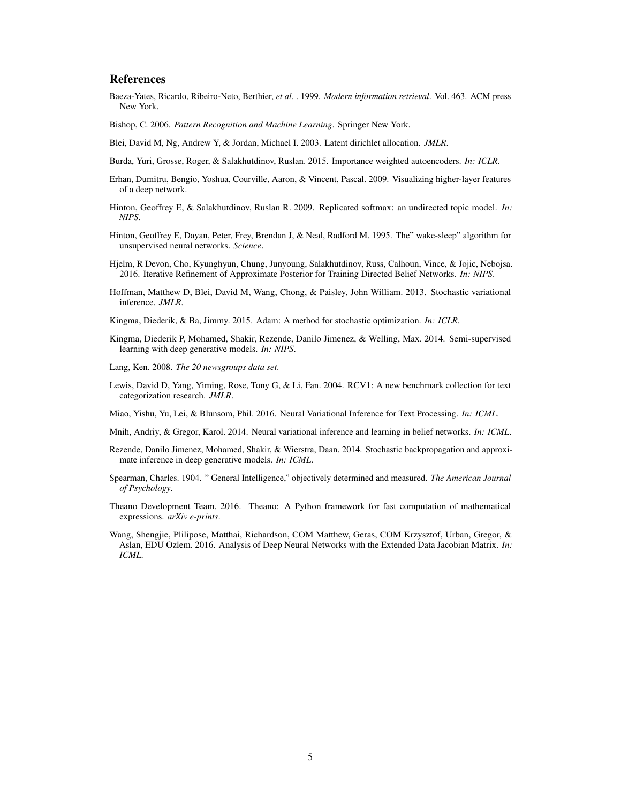## References

- <span id="page-4-5"></span>Baeza-Yates, Ricardo, Ribeiro-Neto, Berthier, *et al.* . 1999. *Modern information retrieval*. Vol. 463. ACM press New York.
- <span id="page-4-2"></span>Bishop, C. 2006. *Pattern Recognition and Machine Learning*. Springer New York.
- <span id="page-4-17"></span>Blei, David M, Ng, Andrew Y, & Jordan, Michael I. 2003. Latent dirichlet allocation. *JMLR*.
- <span id="page-4-16"></span>Burda, Yuri, Grosse, Roger, & Salakhutdinov, Ruslan. 2015. Importance weighted autoencoders. *In: ICLR*.
- <span id="page-4-9"></span>Erhan, Dumitru, Bengio, Yoshua, Courville, Aaron, & Vincent, Pascal. 2009. Visualizing higher-layer features of a deep network.
- <span id="page-4-18"></span>Hinton, Geoffrey E, & Salakhutdinov, Ruslan R. 2009. Replicated softmax: an undirected topic model. *In: NIPS*.
- <span id="page-4-4"></span>Hinton, Geoffrey E, Dayan, Peter, Frey, Brendan J, & Neal, Radford M. 1995. The" wake-sleep" algorithm for unsupervised neural networks. *Science*.
- <span id="page-4-8"></span>Hjelm, R Devon, Cho, Kyunghyun, Chung, Junyoung, Salakhutdinov, Russ, Calhoun, Vince, & Jojic, Nebojsa. 2016. Iterative Refinement of Approximate Posterior for Training Directed Belief Networks. *In: NIPS*.
- <span id="page-4-3"></span>Hoffman, Matthew D, Blei, David M, Wang, Chong, & Paisley, John William. 2013. Stochastic variational inference. *JMLR*.
- <span id="page-4-14"></span>Kingma, Diederik, & Ba, Jimmy. 2015. Adam: A method for stochastic optimization. *In: ICLR*.
- <span id="page-4-1"></span>Kingma, Diederik P, Mohamed, Shakir, Rezende, Danilo Jimenez, & Welling, Max. 2014. Semi-supervised learning with deep generative models. *In: NIPS*.
- <span id="page-4-12"></span>Lang, Ken. 2008. *The 20 newsgroups data set*.
- <span id="page-4-13"></span>Lewis, David D, Yang, Yiming, Rose, Tony G, & Li, Fan. 2004. RCV1: A new benchmark collection for text categorization research. *JMLR*.
- <span id="page-4-11"></span>Miao, Yishu, Yu, Lei, & Blunsom, Phil. 2016. Neural Variational Inference for Text Processing. *In: ICML*.
- <span id="page-4-15"></span>Mnih, Andriy, & Gregor, Karol. 2014. Neural variational inference and learning in belief networks. *In: ICML*.
- <span id="page-4-0"></span>Rezende, Danilo Jimenez, Mohamed, Shakir, & Wierstra, Daan. 2014. Stochastic backpropagation and approximate inference in deep generative models. *In: ICML*.
- <span id="page-4-6"></span>Spearman, Charles. 1904. " General Intelligence," objectively determined and measured. *The American Journal of Psychology*.
- <span id="page-4-7"></span>Theano Development Team. 2016. Theano: A Python framework for fast computation of mathematical expressions. *arXiv e-prints*.
- <span id="page-4-10"></span>Wang, Shengjie, Plilipose, Matthai, Richardson, COM Matthew, Geras, COM Krzysztof, Urban, Gregor, & Aslan, EDU Ozlem. 2016. Analysis of Deep Neural Networks with the Extended Data Jacobian Matrix. *In: ICML*.